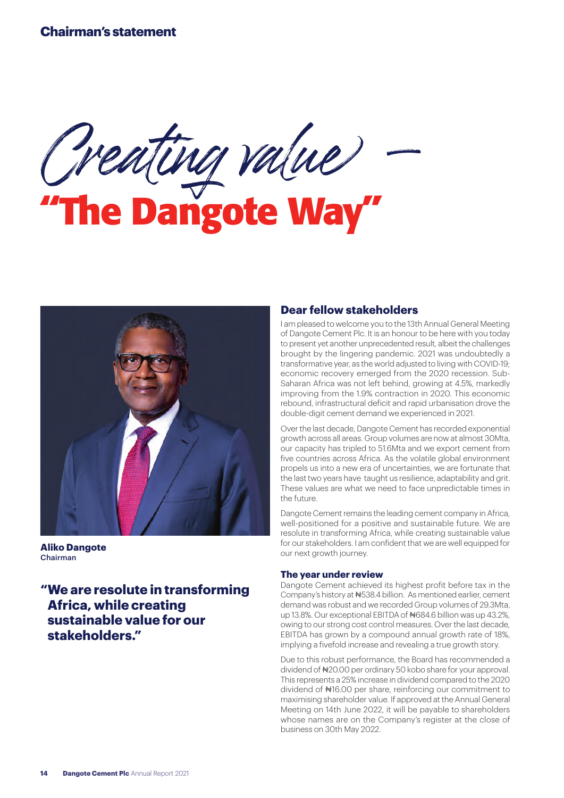# **Chairman's statement**

Creating value – **"The Dangote Way"**



**Aliko Dangote** Chairman

**"We are resolute in transforming Africa, while creating sustainable value for our stakeholders."**

## **Dear fellow stakeholders**

I am pleased to welcome you to the 13th Annual General Meeting of Dangote Cement Plc. It is an honour to be here with you today to present yet another unprecedented result, albeit the challenges brought by the lingering pandemic. 2021 was undoubtedly a transformative year, as the world adjusted to living with COVID-19; economic recovery emerged from the 2020 recession. Sub-Saharan Africa was not left behind, growing at 4.5%, markedly improving from the 1.9% contraction in 2020. This economic rebound, infrastructural deficit and rapid urbanisation drove the double-digit cement demand we experienced in 2021.

Over the last decade, Dangote Cement has recorded exponential growth across all areas. Group volumes are now at almost 30Mta, our capacity has tripled to 51.6Mta and we export cement from five countries across Africa. As the volatile global environment propels us into a new era of uncertainties, we are fortunate that the last two years have taught us resilience, adaptability and grit. These values are what we need to face unpredictable times in the future.

Dangote Cement remains the leading cement company in Africa, well-positioned for a positive and sustainable future. We are resolute in transforming Africa, while creating sustainable value for our stakeholders. I am confident that we are well equipped for our next growth journey.

#### **The year under review**

Dangote Cement achieved its highest profit before tax in the Company's history at ₦538.4 billion. As mentioned earlier, cement demand was robust and we recorded Group volumes of 29.3Mta, up 13.8%. Our exceptional EBITDA of #684.6 billion was up 43.2%. owing to our strong cost control measures. Over the last decade, EBITDA has grown by a compound annual growth rate of 18%, implying a fivefold increase and revealing a true growth story.

Due to this robust performance, the Board has recommended a dividend of ₦20.00 per ordinary 50 kobo share for your approval. This represents a 25% increase in dividend compared to the 2020 dividend of ₦16.00 per share, reinforcing our commitment to maximising shareholder value. If approved at the Annual General Meeting on 14th June 2022, it will be payable to shareholders whose names are on the Company's register at the close of business on 30th May 2022.